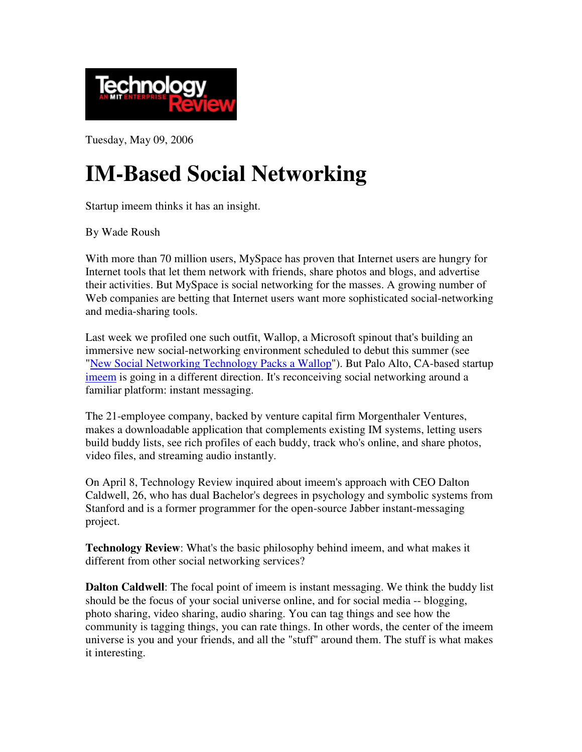

Tuesday, May 09, 2006

## **IM-Based Social Networking**

Startup imeem thinks it has an insight.

By Wade Roush

With more than 70 million users, MySpace has proven that Internet users are hungry for Internet tools that let them network with friends, share photos and blogs, and advertise their activities. But MySpace is social networking for the masses. A growing number of Web companies are betting that Internet users want more sophisticated social-networking and media-sharing tools.

Last week we profiled one such outfit, Wallop, a Microsoft spinout that's building an immersive new social-networking environment scheduled to debut this summer (see "New Social Networking Technology Packs a Wallop"). But Palo Alto, CA-based startup imeem is going in a different direction. It's reconceiving social networking around a familiar platform: instant messaging.

The 21-employee company, backed by venture capital firm Morgenthaler Ventures, makes a downloadable application that complements existing IM systems, letting users build buddy lists, see rich profiles of each buddy, track who's online, and share photos, video files, and streaming audio instantly.

On April 8, Technology Review inquired about imeem's approach with CEO Dalton Caldwell, 26, who has dual Bachelor's degrees in psychology and symbolic systems from Stanford and is a former programmer for the open-source Jabber instant-messaging project.

**Technology Review**: What's the basic philosophy behind imeem, and what makes it different from other social networking services?

**Dalton Caldwell**: The focal point of imeem is instant messaging. We think the buddy list should be the focus of your social universe online, and for social media -- blogging, photo sharing, video sharing, audio sharing. You can tag things and see how the community is tagging things, you can rate things. In other words, the center of the imeem universe is you and your friends, and all the "stuff" around them. The stuff is what makes it interesting.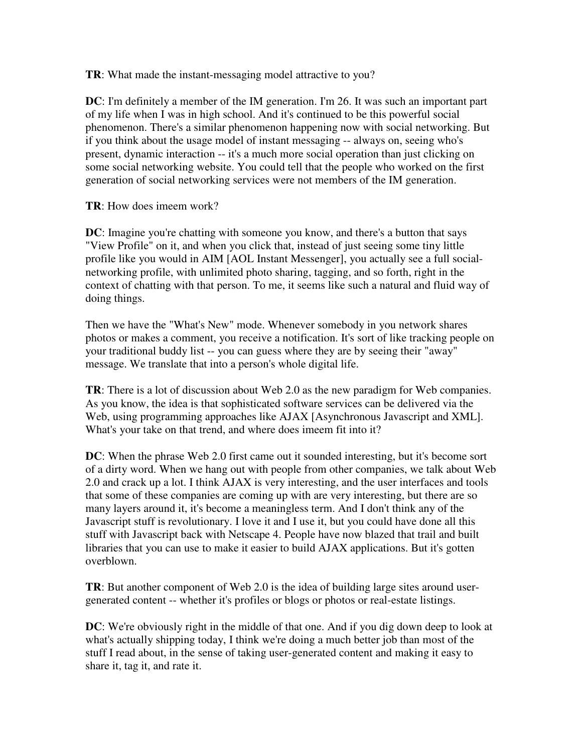**TR**: What made the instant-messaging model attractive to you?

**DC**: I'm definitely a member of the IM generation. I'm 26. It was such an important part of my life when I was in high school. And it's continued to be this powerful social phenomenon. There's a similar phenomenon happening now with social networking. But if you think about the usage model of instant messaging -- always on, seeing who's present, dynamic interaction -- it's a much more social operation than just clicking on some social networking website. You could tell that the people who worked on the first generation of social networking services were not members of the IM generation.

**TR**: How does imeem work?

**DC**: Imagine you're chatting with someone you know, and there's a button that says "View Profile" on it, and when you click that, instead of just seeing some tiny little profile like you would in AIM [AOL Instant Messenger], you actually see a full socialnetworking profile, with unlimited photo sharing, tagging, and so forth, right in the context of chatting with that person. To me, it seems like such a natural and fluid way of doing things.

Then we have the "What's New" mode. Whenever somebody in you network shares photos or makes a comment, you receive a notification. It's sort of like tracking people on your traditional buddy list -- you can guess where they are by seeing their "away" message. We translate that into a person's whole digital life.

**TR**: There is a lot of discussion about Web 2.0 as the new paradigm for Web companies. As you know, the idea is that sophisticated software services can be delivered via the Web, using programming approaches like AJAX [Asynchronous Javascript and XML]. What's your take on that trend, and where does imeem fit into it?

**DC**: When the phrase Web 2.0 first came out it sounded interesting, but it's become sort of a dirty word. When we hang out with people from other companies, we talk about Web 2.0 and crack up a lot. I think AJAX is very interesting, and the user interfaces and tools that some of these companies are coming up with are very interesting, but there are so many layers around it, it's become a meaningless term. And I don't think any of the Javascript stuff is revolutionary. I love it and I use it, but you could have done all this stuff with Javascript back with Netscape 4. People have now blazed that trail and built libraries that you can use to make it easier to build AJAX applications. But it's gotten overblown.

**TR**: But another component of Web 2.0 is the idea of building large sites around usergenerated content -- whether it's profiles or blogs or photos or real-estate listings.

**DC**: We're obviously right in the middle of that one. And if you dig down deep to look at what's actually shipping today, I think we're doing a much better job than most of the stuff I read about, in the sense of taking user-generated content and making it easy to share it, tag it, and rate it.